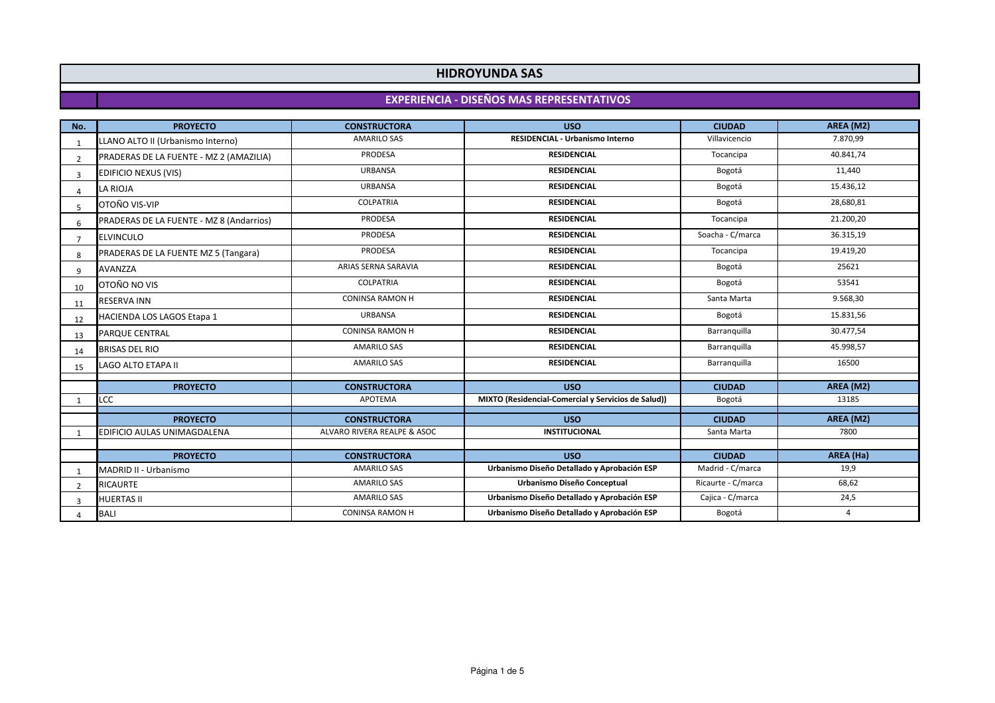# **HIDROYUNDA SAS**

# **EXPERIENCIA - DISEÑOS MAS REPRESENTATIVOS**

| No.            | <b>PROYECTO</b>                          | <b>CONSTRUCTORA</b>         | <b>USO</b>                                          | <b>CIUDAD</b>      | AREA (M2) |
|----------------|------------------------------------------|-----------------------------|-----------------------------------------------------|--------------------|-----------|
|                | LLANO ALTO II (Urbanismo Interno)        | <b>AMARILO SAS</b>          | <b>RESIDENCIAL - Urbanismo Interno</b>              | Villavicencio      | 7.870,99  |
| $\overline{2}$ | PRADERAS DE LA FUENTE - MZ 2 (AMAZILIA)  | PRODESA                     | <b>RESIDENCIAL</b>                                  | Tocancipa          | 40.841,74 |
| $\mathbf{3}$   | <b>EDIFICIO NEXUS (VIS)</b>              | <b>URBANSA</b>              | <b>RESIDENCIAL</b>                                  | Bogotá             | 11,440    |
| $\Lambda$      | LA RIOJA                                 | <b>URBANSA</b>              | <b>RESIDENCIAL</b>                                  | Bogotá             | 15.436,12 |
| 5              | OTOÑO VIS-VIP                            | <b>COLPATRIA</b>            | <b>RESIDENCIAL</b>                                  | Bogotá             | 28,680,81 |
| $\sqrt{6}$     | PRADERAS DE LA FUENTE - MZ 8 (Andarrios) | <b>PRODESA</b>              | <b>RESIDENCIAL</b>                                  | Tocancipa          | 21.200,20 |
| $\mathcal{L}$  | <b>ELVINCULO</b>                         | <b>PRODESA</b>              | <b>RESIDENCIAL</b>                                  | Soacha - C/marca   | 36.315,19 |
| 8              | PRADERAS DE LA FUENTE MZ 5 (Tangara)     | <b>PRODESA</b>              | <b>RESIDENCIAL</b>                                  | Tocancipa          | 19.419,20 |
| q              | <b>AVANZZA</b>                           | ARIAS SERNA SARAVIA         | <b>RESIDENCIAL</b>                                  | Bogotá             | 25621     |
| 10             | OTOÑO NO VIS                             | <b>COLPATRIA</b>            | <b>RESIDENCIAL</b>                                  | Bogotá             | 53541     |
| 11             | <b>RESERVA INN</b>                       | <b>CONINSA RAMON H</b>      | <b>RESIDENCIAL</b>                                  | Santa Marta        | 9.568,30  |
| 12             | <b>HACIENDA LOS LAGOS Etapa 1</b>        | <b>URBANSA</b>              | <b>RESIDENCIAL</b>                                  | Bogotá             | 15.831,56 |
| 13             | <b>PARQUE CENTRAL</b>                    | <b>CONINSA RAMON H</b>      | <b>RESIDENCIAL</b>                                  | Barranguilla       | 30.477,54 |
| 14             | <b>BRISAS DEL RIO</b>                    | <b>AMARILO SAS</b>          | <b>RESIDENCIAL</b>                                  | Barranquilla       | 45.998,57 |
| 15             | <b>LAGO ALTO ETAPA II</b>                | <b>AMARILO SAS</b>          | <b>RESIDENCIAL</b>                                  | Barranquilla       | 16500     |
|                | <b>PROYECTO</b>                          | <b>CONSTRUCTORA</b>         | <b>USO</b>                                          | <b>CIUDAD</b>      | AREA (M2) |
|                | LCC                                      | APOTEMA                     | MIXTO (Residencial-Comercial y Servicios de Salud)) | Bogotá             | 13185     |
|                | <b>PROYECTO</b>                          | <b>CONSTRUCTORA</b>         | <b>USO</b>                                          | <b>CIUDAD</b>      | AREA (M2) |
|                | EDIFICIO AULAS UNIMAGDALENA              | ALVARO RIVERA REALPE & ASOC | <b>INSTITUCIONAL</b>                                | Santa Marta        | 7800      |
|                |                                          |                             |                                                     |                    |           |
|                | <b>PROYECTO</b>                          | <b>CONSTRUCTORA</b>         | <b>USO</b>                                          | <b>CIUDAD</b>      | AREA (Ha) |
|                | MADRID II - Urbanismo                    | <b>AMARILO SAS</b>          | Urbanismo Diseño Detallado y Aprobación ESP         | Madrid - C/marca   | 19,9      |
| $\overline{2}$ | <b>RICAURTE</b>                          | <b>AMARILO SAS</b>          | Urbanismo Diseño Conceptual                         | Ricaurte - C/marca | 68,62     |
| 3              | <b>HUERTAS II</b>                        | <b>AMARILO SAS</b>          | Urbanismo Diseño Detallado y Aprobación ESP         | Cajica - C/marca   | 24,5      |
| $\Lambda$      | <b>BALI</b>                              | <b>CONINSA RAMON H</b>      | Urbanismo Diseño Detallado y Aprobación ESP         | Bogotá             | 4         |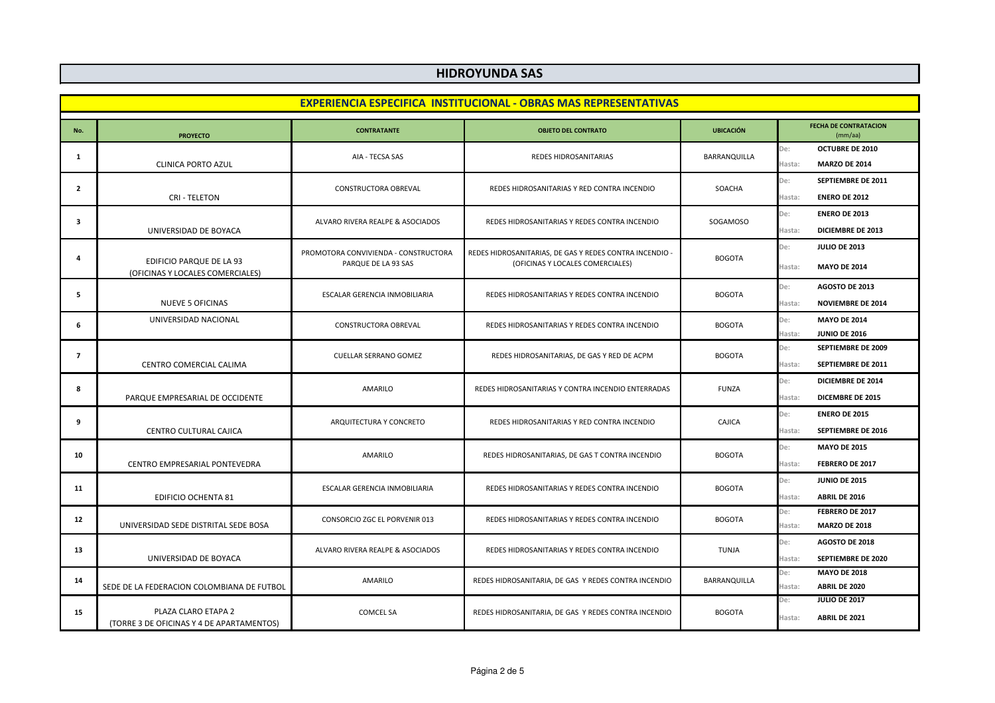# **HIDROYUNDA SAS**

| <b>EXPERIENCIA ESPECIFICA INSTITUCIONAL - OBRAS MAS REPRESENTATIVAS</b> |                                                                  |                                                             |                                                                                             |                  |                                                                         |
|-------------------------------------------------------------------------|------------------------------------------------------------------|-------------------------------------------------------------|---------------------------------------------------------------------------------------------|------------------|-------------------------------------------------------------------------|
| No.                                                                     | <b>PROYECTO</b>                                                  | <b>CONTRATANTE</b>                                          | <b>OBJETO DEL CONTRATO</b>                                                                  | <b>UBICACIÓN</b> | <b>FECHA DE CONTRATACION</b><br>(mm/aa)                                 |
| 1                                                                       | <b>CLINICA PORTO AZUL</b>                                        | AIA - TECSA SAS                                             | REDES HIDROSANITARIAS                                                                       | BARRANQUILLA     | <b>OCTUBRE DE 2010</b><br>De:<br><b>MARZO DE 2014</b><br>Hasta:         |
| $\overline{2}$                                                          | <b>CRI-TELETON</b>                                               | CONSTRUCTORA OBREVAL                                        | REDES HIDROSANITARIAS Y RED CONTRA INCENDIO                                                 | SOACHA           | SEPTIEMBRE DE 2011<br>De:<br><b>ENERO DE 2012</b><br>Hasta:             |
| $\overline{\mathbf{3}}$                                                 | UNIVERSIDAD DE BOYACA                                            | ALVARO RIVERA REALPE & ASOCIADOS                            | REDES HIDROSANITARIAS Y REDES CONTRA INCENDIO                                               | SOGAMOSO         | <b>ENERO DE 2013</b><br>De:<br><b>DICIEMBRE DE 2013</b><br>Hasta:       |
| 4                                                                       | EDIFICIO PARQUE DE LA 93<br>(OFICINAS Y LOCALES COMERCIALES)     | PROMOTORA CONVIVIENDA - CONSTRUCTORA<br>PARQUE DE LA 93 SAS | REDES HIDROSANITARIAS, DE GAS Y REDES CONTRA INCENDIO -<br>(OFICINAS Y LOCALES COMERCIALES) | <b>BOGOTA</b>    | De:<br><b>JULIO DE 2013</b><br>Hasta:<br><b>MAYO DE 2014</b>            |
| 5                                                                       | <b>NUEVE 5 OFICINAS</b>                                          | ESCALAR GERENCIA INMOBILIARIA                               | REDES HIDROSANITARIAS Y REDES CONTRA INCENDIO                                               | <b>BOGOTA</b>    | De:<br>AGOSTO DE 2013<br>Hasta:<br><b>NOVIEMBRE DE 2014</b>             |
| 6                                                                       | UNIVERSIDAD NACIONAL                                             | CONSTRUCTORA OBREVAL                                        | REDES HIDROSANITARIAS Y REDES CONTRA INCENDIO                                               | <b>BOGOTA</b>    | <b>MAYO DE 2014</b><br>De:<br><b>JUNIO DE 2016</b><br>Hasta             |
| $\overline{7}$                                                          | CENTRO COMERCIAL CALIMA                                          | <b>CUELLAR SERRANO GOMEZ</b>                                | REDES HIDROSANITARIAS, DE GAS Y RED DE ACPM                                                 | <b>BOGOTA</b>    | De:<br><b>SEPTIEMBRE DE 2009</b><br><b>SEPTIEMBRE DE 2011</b><br>Hasta: |
| 8                                                                       | PARQUE EMPRESARIAL DE OCCIDENTE                                  | AMARILO                                                     | REDES HIDROSANITARIAS Y CONTRA INCENDIO ENTERRADAS                                          | <b>FUNZA</b>     | De:<br><b>DICIEMBRE DE 2014</b><br><b>DICEMBRE DE 2015</b><br>Hasta:    |
| 9                                                                       | CENTRO CULTURAL CAJICA                                           | ARQUITECTURA Y CONCRETO                                     | REDES HIDROSANITARIAS Y RED CONTRA INCENDIO                                                 | CAJICA           | De:<br><b>ENERO DE 2015</b><br><b>SEPTIEMBRE DE 2016</b><br>Hasta:      |
| 10                                                                      | CENTRO EMPRESARIAL PONTEVEDRA                                    | AMARILO                                                     | REDES HIDROSANITARIAS, DE GAS T CONTRA INCENDIO                                             | <b>BOGOTA</b>    | <b>MAYO DE 2015</b><br>De:<br>FEBRERO DE 2017<br>Hasta:                 |
| 11                                                                      | <b>EDIFICIO OCHENTA 81</b>                                       | ESCALAR GERENCIA INMOBILIARIA                               | REDES HIDROSANITARIAS Y REDES CONTRA INCENDIO                                               | <b>BOGOTA</b>    | <b>JUNIO DE 2015</b><br>De:<br>Hasta:<br><b>ABRIL DE 2016</b>           |
| 12                                                                      | UNIVERSIDAD SEDE DISTRITAL SEDE BOSA                             | CONSORCIO ZGC EL PORVENIR 013                               | REDES HIDROSANITARIAS Y REDES CONTRA INCENDIO                                               | <b>BOGOTA</b>    | FEBRERO DE 2017<br>De:<br><b>MARZO DE 2018</b><br>Hasta:                |
| 13                                                                      | UNIVERSIDAD DE BOYACA                                            | ALVARO RIVERA REALPE & ASOCIADOS                            | REDES HIDROSANITARIAS Y REDES CONTRA INCENDIO                                               | <b>TUNJA</b>     | De:<br>AGOSTO DE 2018<br>SEPTIEMBRE DE 2020<br>Hasta:                   |
| 14                                                                      | SEDE DE LA FEDERACION COLOMBIANA DE FUTBOL                       | AMARILO                                                     | REDES HIDROSANITARIA, DE GAS Y REDES CONTRA INCENDIO                                        | BARRANQUILLA     | De:<br><b>MAYO DE 2018</b><br>ABRIL DE 2020<br>Hasta                    |
| 15                                                                      | PLAZA CLARO ETAPA 2<br>(TORRE 3 DE OFICINAS Y 4 DE APARTAMENTOS) | <b>COMCEL SA</b>                                            | REDES HIDROSANITARIA, DE GAS Y REDES CONTRA INCENDIO                                        | <b>BOGOTA</b>    | <b>JULIO DE 2017</b><br>De:<br>ABRIL DE 2021<br>Hasta:                  |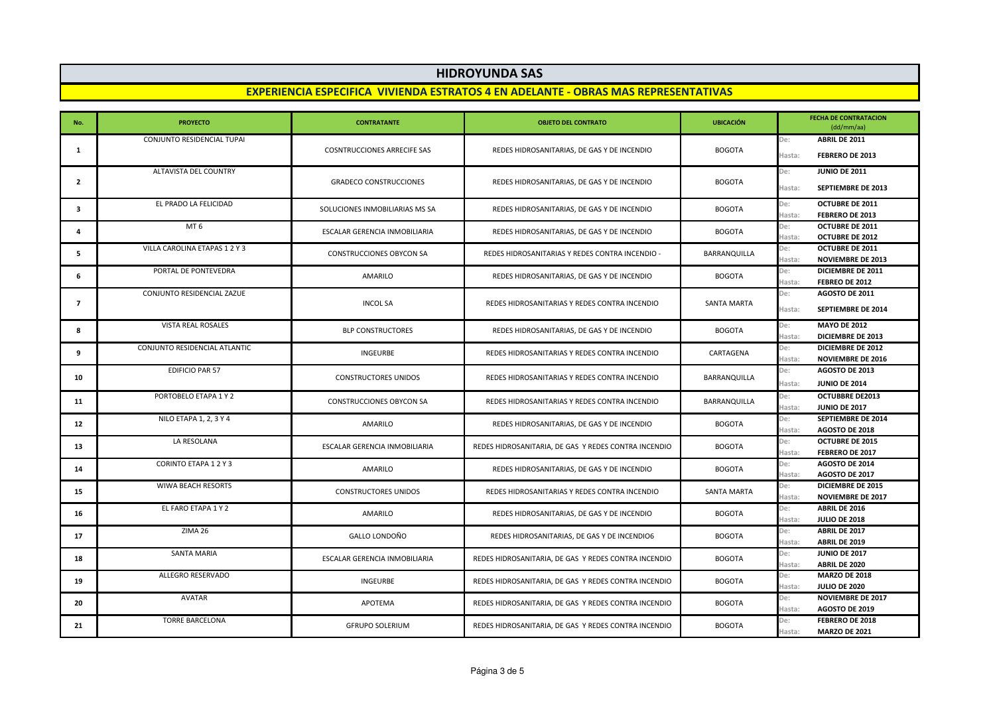## **HIDROYUNDA SAS**

#### **EXPERIENCIA ESPECIFICA VIVIENDA ESTRATOS 4 EN ADELANTE - OBRAS MAS REPRESENTATIVAS**

| No.            | <b>PROYECTO</b>               | <b>CONTRATANTE</b>                 | <b>OBJETO DEL CONTRATO</b>                           | <b>UBICACIÓN</b>   | <b>FECHA DE CONTRATACION</b><br>(dd/mm/aa)                            |
|----------------|-------------------------------|------------------------------------|------------------------------------------------------|--------------------|-----------------------------------------------------------------------|
| 1              | CONJUNTO RESIDENCIAL TUPAI    | <b>COSNTRUCCIONES ARRECIFE SAS</b> | REDES HIDROSANITARIAS, DE GAS Y DE INCENDIO          | <b>BOGOTA</b>      | ABRIL DE 2011<br>De:<br>Hasta:<br><b>FEBRERO DE 2013</b>              |
| $\overline{2}$ | ALTAVISTA DEL COUNTRY         | <b>GRADECO CONSTRUCCIONES</b>      | REDES HIDROSANITARIAS, DE GAS Y DE INCENDIO          | <b>BOGOTA</b>      | De:<br><b>JUNIO DE 2011</b><br><b>SEPTIEMBRE DE 2013</b><br>Hasta:    |
| 3              | EL PRADO LA FELICIDAD         | SOLUCIONES INMOBILIARIAS MS SA     | REDES HIDROSANITARIAS, DE GAS Y DE INCENDIO          | <b>BOGOTA</b>      | <b>OCTUBRE DE 2011</b><br>De:<br>FEBRERO DE 2013<br>Hasta:            |
| 4              | MT <sub>6</sub>               | ESCALAR GERENCIA INMOBILIARIA      | REDES HIDROSANITARIAS, DE GAS Y DE INCENDIO          | <b>BOGOTA</b>      | <b>OCTUBRE DE 2011</b><br>De:<br>Hasta:<br><b>OCTUBRE DE 2012</b>     |
| 5              | VILLA CAROLINA ETAPAS 1 2 Y 3 | CONSTRUCCIONES OBYCON SA           | REDES HIDROSANITARIAS Y REDES CONTRA INCENDIO -      | BARRANQUILLA       | OCTUBRE DE 2011<br>De:<br>Hasta:<br><b>NOVIEMBRE DE 2013</b>          |
| 6              | PORTAL DE PONTEVEDRA          | AMARILO                            | REDES HIDROSANITARIAS, DE GAS Y DE INCENDIO          | <b>BOGOTA</b>      | De:<br>DICIEMBRE DE 2011<br>FEBREO DE 2012<br>Hasta:                  |
| $\overline{7}$ | CONJUNTO RESIDENCIAL ZAZUE    | <b>INCOL SA</b>                    | REDES HIDROSANITARIAS Y REDES CONTRA INCENDIO        | <b>SANTA MARTA</b> | AGOSTO DE 2011<br>De:<br><b>SEPTIEMBRE DE 2014</b><br>Hasta:          |
| 8              | <b>VISTA REAL ROSALES</b>     | <b>BLP CONSTRUCTORES</b>           | REDES HIDROSANITARIAS, DE GAS Y DE INCENDIO          | <b>BOGOTA</b>      | <b>MAYO DE 2012</b><br>De:<br>Hasta:<br>DICIEMBRE DE 2013             |
| 9              | CONJUNTO RESIDENCIAL ATLANTIC | <b>INGEURBE</b>                    | REDES HIDROSANITARIAS Y REDES CONTRA INCENDIO        | CARTAGENA          | <b>DICIEMBRE DE 2012</b><br>De:<br>Hasta<br><b>NOVIEMBRE DE 2016</b>  |
| 10             | EDIFICIO PAR 57               | <b>CONSTRUCTORES UNIDOS</b>        | REDES HIDROSANITARIAS Y REDES CONTRA INCENDIO        | BARRANQUILLA       | AGOSTO DE 2013<br>De:<br>Hasta:<br><b>JUNIO DE 2014</b>               |
| 11             | PORTOBELO ETAPA 1 Y 2         | <b>CONSTRUCCIONES OBYCON SA</b>    | REDES HIDROSANITARIAS Y REDES CONTRA INCENDIO        | BARRANQUILLA       | <b>OCTUBBRE DE2013</b><br>De:<br>Hasta:<br><b>JUNIO DE 2017</b>       |
| 12             | NILO ETAPA 1, 2, 3 Y 4        | AMARILO                            | REDES HIDROSANITARIAS, DE GAS Y DE INCENDIO          | <b>BOGOTA</b>      | De:<br><b>SEPTIEMBRE DE 2014</b><br>Hasta<br>AGOSTO DE 2018           |
| 13             | LA RESOLANA                   | ESCALAR GERENCIA INMOBILIARIA      | REDES HIDROSANITARIA, DE GAS Y REDES CONTRA INCENDIO | <b>BOGOTA</b>      | OCTUBRE DE 2015<br>De:<br>FEBRERO DE 2017<br>Hasta:                   |
| 14             | CORINTO ETAPA 12Y3            | <b>AMARILO</b>                     | REDES HIDROSANITARIAS, DE GAS Y DE INCENDIO          | <b>BOGOTA</b>      | De:<br>AGOSTO DE 2014<br>Hasta:<br>AGOSTO DE 2017                     |
| 15             | WIWA BEACH RESORTS            | <b>CONSTRUCTORES UNIDOS</b>        | REDES HIDROSANITARIAS Y REDES CONTRA INCENDIO        | <b>SANTA MARTA</b> | De:<br><b>DICIEMBRE DE 2015</b><br><b>NOVIEMBRE DE 2017</b><br>Hasta: |
| 16             | EL FARO ETAPA 1 Y 2           | AMARILO                            | REDES HIDROSANITARIAS, DE GAS Y DE INCENDIO          | <b>BOGOTA</b>      | ABRIL DE 2016<br>De:<br><b>JULIO DE 2018</b><br>Hasta:                |
| 17             | ZIMA 26                       | GALLO LONDOÑO                      | REDES HIDROSANITARIAS, DE GAS Y DE INCENDIO6         | <b>BOGOTA</b>      | ABRIL DE 2017<br>De:<br>Hasta:<br>ABRIL DE 2019                       |
| 18             | <b>SANTA MARIA</b>            | ESCALAR GERENCIA INMOBILIARIA      | REDES HIDROSANITARIA, DE GAS Y REDES CONTRA INCENDIO | <b>BOGOTA</b>      | De:<br><b>JUNIO DE 2017</b><br>Hasta:<br>ABRIL DE 2020                |
| 19             | ALLEGRO RESERVADO             | INGEURBE                           | REDES HIDROSANITARIA, DE GAS Y REDES CONTRA INCENDIO | <b>BOGOTA</b>      | De:<br><b>MARZO DE 2018</b><br><b>JULIO DE 2020</b><br>Hasta          |
| 20             | AVATAR                        | APOTEMA                            | REDES HIDROSANITARIA, DE GAS Y REDES CONTRA INCENDIO | <b>BOGOTA</b>      | <b>NOVIEMBRE DE 2017</b><br>De:<br>Hasta<br>AGOSTO DE 2019            |
| 21             | <b>TORRE BARCELONA</b>        | <b>GFRUPO SOLERIUM</b>             | REDES HIDROSANITARIA, DE GAS Y REDES CONTRA INCENDIO | <b>BOGOTA</b>      | De:<br><b>FEBRERO DE 2018</b><br>Hasta:<br><b>MARZO DE 2021</b>       |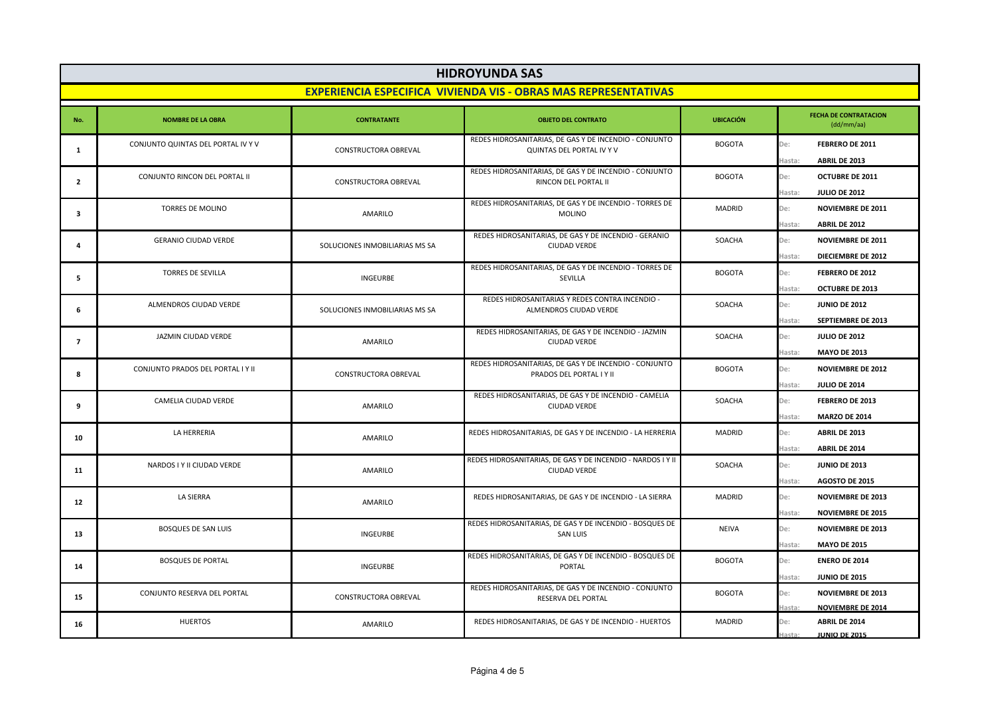| <b>HIDROYUNDA SAS</b>                                                  |                                    |                                |                                                                                     |                  |                                                                                             |
|------------------------------------------------------------------------|------------------------------------|--------------------------------|-------------------------------------------------------------------------------------|------------------|---------------------------------------------------------------------------------------------|
| <b>EXPERIENCIA ESPECIFICA VIVIENDA VIS - OBRAS MAS REPRESENTATIVAS</b> |                                    |                                |                                                                                     |                  |                                                                                             |
| No.                                                                    | <b>NOMBRE DE LA OBRA</b>           | <b>CONTRATANTE</b>             | <b>OBJETO DEL CONTRATO</b>                                                          | <b>UBICACIÓN</b> | <b>FECHA DE CONTRATACION</b><br>(dd/mm/aa)                                                  |
| $\mathbf{1}$                                                           | CONJUNTO QUINTAS DEL PORTAL IV Y V | CONSTRUCTORA OBREVAL           | REDES HIDROSANITARIAS, DE GAS Y DE INCENDIO - CONJUNTO<br>QUINTAS DEL PORTAL IV Y V | <b>BOGOTA</b>    | De:<br>FEBRERO DE 2011<br>ABRIL DE 2013<br>Hasta                                            |
| $\overline{2}$                                                         | CONJUNTO RINCON DEL PORTAL II      | CONSTRUCTORA OBREVAL           | REDES HIDROSANITARIAS, DE GAS Y DE INCENDIO - CONJUNTO<br>RINCON DEL PORTAL II      | <b>BOGOTA</b>    | De:<br><b>OCTUBRE DE 2011</b><br>Hasta<br><b>JULIO DE 2012</b>                              |
| 3                                                                      | TORRES DE MOLINO                   | AMARILO                        | REDES HIDROSANITARIAS, DE GAS Y DE INCENDIO - TORRES DE<br><b>MOLINO</b>            | <b>MADRID</b>    | De:<br><b>NOVIEMBRE DE 2011</b>                                                             |
| $\overline{a}$                                                         | <b>GERANIO CIUDAD VERDE</b>        | SOLUCIONES INMOBILIARIAS MS SA | REDES HIDROSANITARIAS, DE GAS Y DE INCENDIO - GERANIO<br><b>CIUDAD VERDE</b>        | SOACHA           | ABRIL DE 2012<br>Hasta<br>De:<br><b>NOVIEMBRE DE 2011</b>                                   |
| 5                                                                      | <b>TORRES DE SEVILLA</b>           | <b>INGEURBE</b>                | REDES HIDROSANITARIAS, DE GAS Y DE INCENDIO - TORRES DE<br><b>SEVILLA</b>           | <b>BOGOTA</b>    | DIECIEMBRE DE 2012<br>Hasta<br>De:<br>FEBRERO DE 2012                                       |
| 6                                                                      | ALMENDROS CIUDAD VERDE             | SOLUCIONES INMOBILIARIAS MS SA | REDES HIDROSANITARIAS Y REDES CONTRA INCENDIO -<br>ALMENDROS CIUDAD VERDE           | SOACHA           | <b>OCTUBRE DE 2013</b><br>Hasta<br>De:<br><b>JUNIO DE 2012</b>                              |
| $\overline{7}$                                                         | JAZMIN CIUDAD VERDE                | AMARILO                        | REDES HIDROSANITARIAS, DE GAS Y DE INCENDIO - JAZMIN<br><b>CIUDAD VERDE</b>         | SOACHA           | Hasta<br>SEPTIEMBRE DE 2013<br>De:<br><b>JULIO DE 2012</b>                                  |
| 8                                                                      | CONJUNTO PRADOS DEL PORTAL I Y II  | CONSTRUCTORA OBREVAL           | REDES HIDROSANITARIAS, DE GAS Y DE INCENDIO - CONJUNTO<br>PRADOS DEL PORTAL I Y II  | <b>BOGOTA</b>    | <b>MAYO DE 2013</b><br>Hasta<br>De:<br><b>NOVIEMBRE DE 2012</b>                             |
| 9                                                                      | CAMELIA CIUDAD VERDE               | <b>AMARILO</b>                 | REDES HIDROSANITARIAS, DE GAS Y DE INCENDIO - CAMELIA<br><b>CIUDAD VERDE</b>        | SOACHA           | <b>JULIO DE 2014</b><br>Hasta<br>De:<br>FEBRERO DE 2013                                     |
| 10                                                                     | LA HERRERIA                        | AMARILO                        | REDES HIDROSANITARIAS, DE GAS Y DE INCENDIO - LA HERRERIA                           | MADRID           | <b>MARZO DE 2014</b><br>Hasta<br>De:<br>ABRIL DE 2013                                       |
| 11                                                                     | NARDOS I Y II CIUDAD VERDE         | <b>AMARILO</b>                 | REDES HIDROSANITARIAS, DE GAS Y DE INCENDIO - NARDOS I Y II<br><b>CIUDAD VERDE</b>  | SOACHA           | ABRIL DE 2014<br>Hasta<br>De:<br><b>JUNIO DE 2013</b>                                       |
| 12                                                                     | <b>LA SIERRA</b>                   | AMARILO                        | REDES HIDROSANITARIAS, DE GAS Y DE INCENDIO - LA SIERRA                             | <b>MADRID</b>    | AGOSTO DE 2015<br>Hasta<br>De:<br><b>NOVIEMBRE DE 2013</b>                                  |
| 13                                                                     | <b>BOSQUES DE SAN LUIS</b>         | INGEURBE                       | REDES HIDROSANITARIAS, DE GAS Y DE INCENDIO - BOSQUES DE<br><b>SAN LUIS</b>         | <b>NEIVA</b>     | <b>NOVIEMBRE DE 2015</b><br>Hasta<br>De:<br><b>NOVIEMBRE DE 2013</b>                        |
| 14                                                                     | <b>BOSQUES DE PORTAL</b>           | <b>INGEURBE</b>                | REDES HIDROSANITARIAS, DE GAS Y DE INCENDIO - BOSQUES DE<br>PORTAL                  | <b>BOGOTA</b>    | <b>MAYO DE 2015</b><br>Hasta<br>De:<br><b>ENERO DE 2014</b>                                 |
| 15                                                                     | CONJUNTO RESERVA DEL PORTAL        | CONSTRUCTORA OBREVAL           | REDES HIDROSANITARIAS, DE GAS Y DE INCENDIO - CONJUNTO<br>RESERVA DEL PORTAL        | <b>BOGOTA</b>    | <b>JUNIO DE 2015</b><br>Hasta<br>De:<br><b>NOVIEMBRE DE 2013</b>                            |
| 16                                                                     | <b>HUERTOS</b>                     | AMARILO                        | REDES HIDROSANITARIAS, DE GAS Y DE INCENDIO - HUERTOS                               | MADRID           | <b>NOVIEMBRE DE 2014</b><br>Hasta<br>De:<br>ABRIL DE 2014<br><b>ILINIO DF 2015</b><br>Hasta |